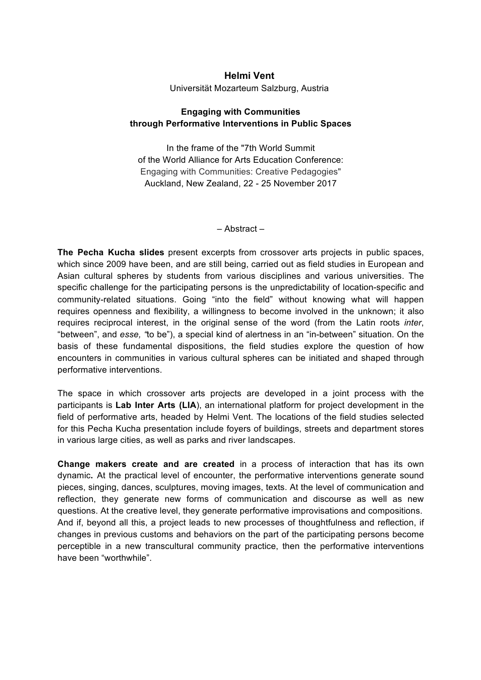## **Helmi Vent** Universität Mozarteum Salzburg, Austria

## **Engaging with Communities through Performative Interventions in Public Spaces**

In the frame of the "7th World Summit of the World Alliance for Arts Education Conference: Engaging with Communities: Creative Pedagogies" Auckland, New Zealand, 22 - 25 November 2017

– Abstract –

**The Pecha Kucha slides** present excerpts from crossover arts projects in public spaces, which since 2009 have been, and are still being, carried out as field studies in European and Asian cultural spheres by students from various disciplines and various universities. The specific challenge for the participating persons is the unpredictability of location-specific and community-related situations. Going "into the field" without knowing what will happen requires openness and flexibility, a willingness to become involved in the unknown; it also requires reciprocal interest, in the original sense of the word (from the Latin roots *inter*, "between", and *esse, "*to be"), a special kind of alertness in an "in-between" situation. On the basis of these fundamental dispositions, the field studies explore the question of how encounters in communities in various cultural spheres can be initiated and shaped through performative interventions.

The space in which crossover arts projects are developed in a joint process with the participants is **Lab Inter Arts (LIA**), an international platform for project development in the field of performative arts, headed by Helmi Vent. The locations of the field studies selected for this Pecha Kucha presentation include foyers of buildings, streets and department stores in various large cities, as well as parks and river landscapes.

**Change makers create and are created** in a process of interaction that has its own dynamic**.** At the practical level of encounter, the performative interventions generate sound pieces, singing, dances, sculptures, moving images, texts. At the level of communication and reflection, they generate new forms of communication and discourse as well as new questions. At the creative level, they generate performative improvisations and compositions. And if, beyond all this, a project leads to new processes of thoughtfulness and reflection, if changes in previous customs and behaviors on the part of the participating persons become perceptible in a new transcultural community practice, then the performative interventions have been "worthwhile".